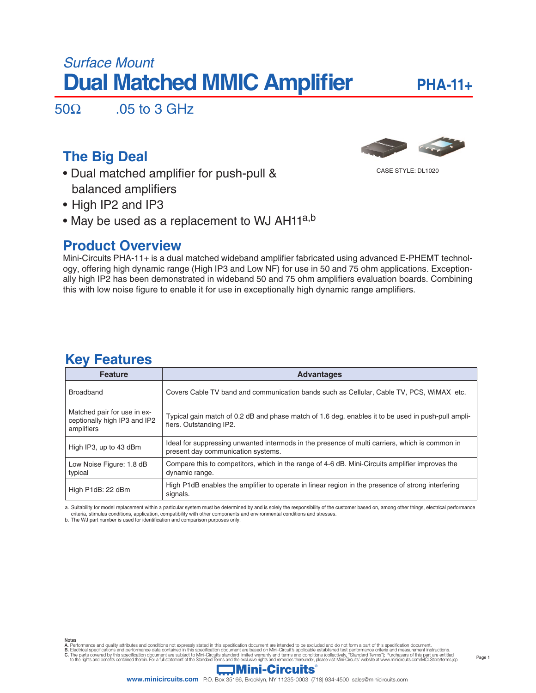# *Surface Mount* **Dual Matched MMIC Amplifier**

# **PHA-11+**

Page 1

 $50\Omega$  .05 to 3 GHz

# **The Big Deal**



CASE STYLE: DL1020

- Dual matched amplifier for push-pull & balanced amplifiers
- High IP2 and IP3
- May be used as a replacement to WJ AH11<sup>a,b</sup>

# **Product Overview**

Mini-Circuits PHA-11+ is a dual matched wideband amplifier fabricated using advanced E-PHEMT technology, offering high dynamic range (High IP3 and Low NF) for use in 50 and 75 ohm applications. Exceptionally high IP2 has been demonstrated in wideband 50 and 75 ohm amplifiers evaluation boards. Combining this with low noise figure to enable it for use in exceptionally high dynamic range amplifiers.

| <b>Feature</b>                                                            | <b>Advantages</b>                                                                                                                    |  |  |  |  |
|---------------------------------------------------------------------------|--------------------------------------------------------------------------------------------------------------------------------------|--|--|--|--|
| <b>Broadband</b>                                                          | Covers Cable TV band and communication bands such as Cellular, Cable TV, PCS, WiMAX etc.                                             |  |  |  |  |
| Matched pair for use in ex-<br>ceptionally high IP3 and IP2<br>amplifiers | Typical gain match of 0.2 dB and phase match of 1.6 deg. enables it to be used in push-pull ampli-<br>fiers. Outstanding IP2.        |  |  |  |  |
| High IP3, up to 43 dBm                                                    | Ideal for suppressing unwanted intermods in the presence of multi carriers, which is common in<br>present day communication systems. |  |  |  |  |
| Low Noise Figure: 1.8 dB<br>typical                                       | Compare this to competitors, which in the range of 4-6 dB. Mini-Circuits amplifier improves the<br>dynamic range.                    |  |  |  |  |
| High P1dB: 22 dBm                                                         | High P1dB enables the amplifier to operate in linear region in the presence of strong interfering<br>signals.                        |  |  |  |  |

# **Key Features**

a. Suitability for model replacement within a particular system must be determined by and is solely the responsibility of the customer based on, among other things, electrical performance criteria, stimulus conditions, application, compatibility with other components and environmental conditions and stresses. b. The WJ part number is used for identification and comparison purposes only.

Notes<br>A. Performance and quality attributes and conditions not expressly stated in this specification document are intended to be excluded and do not form a part of this specification document.<br>B. Electrical specifications

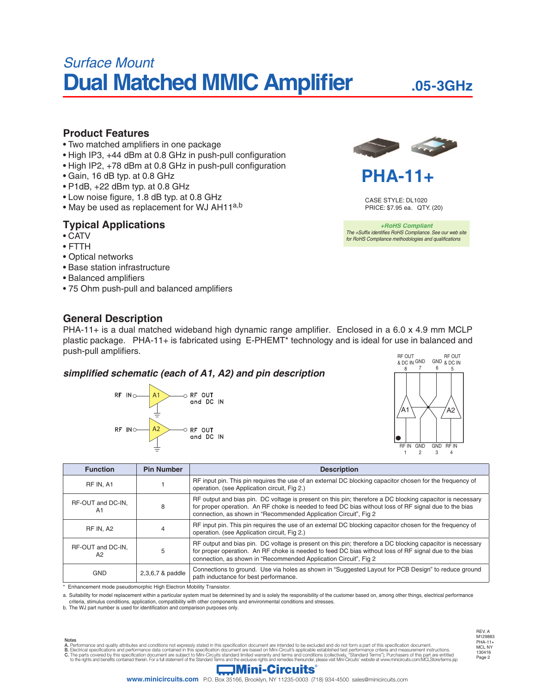# *Surface Mount* **Dual Matched MMIC Amplifier**

# **.05-3GHz**

## **Product Features**

- Two matched amplifiers in one package
- High IP3, +44 dBm at 0.8 GHz in push-pull configuration
- High IP2, +78 dBm at 0.8 GHz in push-pull configuration
- Gain, 16 dB typ. at 0.8 GHz
- P1dB, +22 dBm typ. at 0.8 GHz
- Low noise figure, 1.8 dB typ. at 0.8 GHz
- May be used as replacement for WJ AH11<sup>a,b</sup>

## **Typical Applications**

- CATV
- FTTH
- Optical networks
- Base station infrastructure
- Balanced amplifiers
- 75 Ohm push-pull and balanced amplifiers

## **General Description**



# **PHA-11+**

CASE STYLE: DL1020 PRICE: \$7.95 ea. QTY. (20)

*+RoHS Compliant The +Suffix identifies RoHS Compliance. See our web site for RoHS Compliance methodologies and qualifications*

PHA-11+ is a dual matched wideband high dynamic range amplifier. Enclosed in a 6.0 x 4.9 mm MCLP plastic package. PHA-11+ is fabricated using E-PHEMT\* technology and is ideal for use in balanced and push-pull amplifiers.

### simplified schematic (each of A1, A2) and pin description





| <b>Function</b>                          | <b>Pin Number</b> | <b>Description</b>                                                                                                                                                                                                                                                                     |  |  |  |  |
|------------------------------------------|-------------------|----------------------------------------------------------------------------------------------------------------------------------------------------------------------------------------------------------------------------------------------------------------------------------------|--|--|--|--|
| RF IN. A1                                |                   | RF input pin. This pin requires the use of an external DC blocking capacitor chosen for the frequency of<br>operation. (see Application circuit, Fig 2.)                                                                                                                               |  |  |  |  |
| RF-OUT and DC-IN,<br>A1                  | 8                 | RF output and bias pin. DC voltage is present on this pin; therefore a DC blocking capacitor is necessary<br>for proper operation. An RF choke is needed to feed DC bias without loss of RF signal due to the bias<br>connection, as shown in "Recommended Application Circuit", Fig 2 |  |  |  |  |
| RF IN. A2                                |                   | RF input pin. This pin requires the use of an external DC blocking capacitor chosen for the frequency of<br>operation. (see Application circuit, Fig 2.)                                                                                                                               |  |  |  |  |
| RF-OUT and DC-IN.<br>5<br>A <sub>2</sub> |                   | RF output and bias pin. DC voltage is present on this pin; therefore a DC blocking capacitor is necessary<br>for proper operation. An RF choke is needed to feed DC bias without loss of RF signal due to the bias<br>connection, as shown in "Recommended Application Circuit", Fig 2 |  |  |  |  |
| <b>GND</b>                               | 2,3,6,7 & paddle  | Connections to ground. Use via holes as shown in "Suggested Layout for PCB Design" to reduce ground<br>path inductance for best performance.                                                                                                                                           |  |  |  |  |

\* Enhancement mode pseudomorphic High Electron Mobility Transistor.

a. Suitability for model replacement within a particular system must be determined by and is solely the responsibility of the customer based on, among other things, electrical performance criteria, stimulus conditions, application, compatibility with other components and environmental conditions and stresses. b. The WJ part number is used for identifi cation and comparison purposes only.

Notes<br>A. Performance and quality attributes and conditions not expressly stated in this specification document are intended to be excluded and do not form a part of this specification document.<br>B. Electrical specifications to the rights and benefits contained therein. For a full statement of the Standard Terms and the exclusive rights and remedies thereunder, please visit Mini-Circuits' website at www.minicircuits.com/MCLStore/terms.jsp

Page 2 REV. A M129883 PHA-11+ MCL NY 130416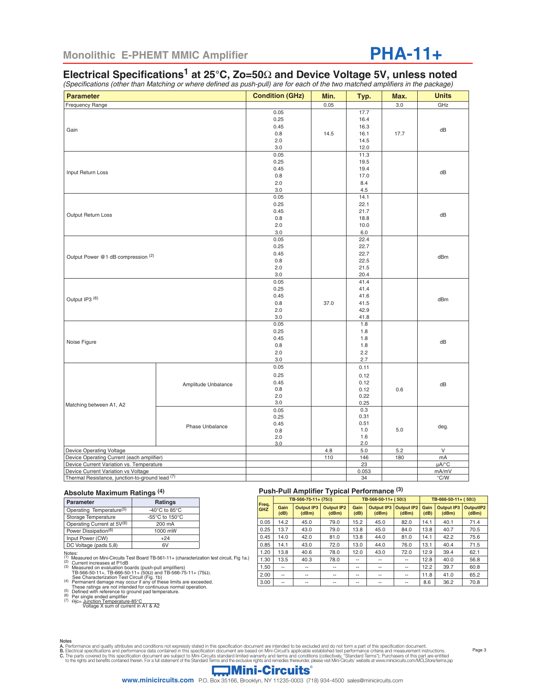# **PHA-11+**

# **Electrical Specifications1 at 25°C, Zo=50**Ω **and Device Voltage 5V, unless noted**

(Specifications (other than Matching or where defined as push-pull) are for each of the two matched amplifiers in the package)

| <b>Parameter</b>                                | <b>Condition (GHz)</b> | Min.         | Typ.  | Max.        | <b>Units</b>           |               |  |  |
|-------------------------------------------------|------------------------|--------------|-------|-------------|------------------------|---------------|--|--|
| <b>Frequency Range</b>                          |                        |              | 0.05  |             | 3.0                    | GHz           |  |  |
|                                                 |                        | 0.05         |       | 17.7        |                        |               |  |  |
|                                                 |                        | 0.25         |       | 16.4        |                        |               |  |  |
|                                                 |                        | 0.45         |       | 16.3        |                        |               |  |  |
| Gain                                            |                        | 0.8          | 14.5  | 16.1        | 17.7                   | dB            |  |  |
|                                                 |                        | 2.0          |       | 14.5        |                        |               |  |  |
|                                                 |                        | 3.0          |       | 12.0        |                        |               |  |  |
|                                                 |                        | 0.05         |       | 11.3        |                        |               |  |  |
|                                                 |                        | 0.25         |       | 19.5        |                        | dB            |  |  |
| Input Return Loss                               |                        | 0.45         |       | 19.4        |                        |               |  |  |
|                                                 |                        | 0.8          |       | 17.0        |                        |               |  |  |
|                                                 |                        | 2.0          |       | 8.4         |                        |               |  |  |
|                                                 |                        | 3.0          |       | 4.5         |                        |               |  |  |
|                                                 |                        | 0.05         |       | 14.1        |                        |               |  |  |
|                                                 |                        | 0.25         |       | 22.1        |                        |               |  |  |
| Output Return Loss                              |                        | 0.45         |       | 21.7        |                        | dB            |  |  |
|                                                 |                        | 0.8          |       | 18.8        |                        |               |  |  |
|                                                 |                        | 2.0          |       | 10.0        |                        |               |  |  |
|                                                 |                        | 3.0          |       | 6.0         |                        |               |  |  |
|                                                 |                        | 0.05         |       | 22.4        |                        |               |  |  |
|                                                 |                        | 0.25         |       | 22.7        |                        |               |  |  |
| Output Power @1 dB compression (2)              |                        | 0.45         |       | 22.7        |                        | dBm           |  |  |
|                                                 |                        | 0.8          |       | 22.5        |                        |               |  |  |
|                                                 |                        | 2.0          |       | 21.5        |                        |               |  |  |
|                                                 |                        | 3.0          |       | 20.4        |                        |               |  |  |
|                                                 |                        | 0.05         |       | 41.4        |                        |               |  |  |
|                                                 |                        | 0.25         |       | 41.4        |                        |               |  |  |
| Output IP3 <sup>(6)</sup>                       |                        | 0.45         |       | 41.6        |                        | dBm           |  |  |
|                                                 |                        | 0.8          | 37.0  | 41.5        |                        |               |  |  |
|                                                 |                        | 2.0          |       | 42.9        |                        |               |  |  |
|                                                 |                        | 3.0          |       | 41.8        |                        |               |  |  |
|                                                 |                        | 0.05         |       | 1.8         |                        |               |  |  |
|                                                 |                        | 0.25         |       | 1.8         |                        |               |  |  |
| Noise Figure                                    |                        | 0.45         |       | 1.8         |                        | dB            |  |  |
|                                                 |                        | 0.8<br>2.0   |       | 1.8<br>2.2  |                        |               |  |  |
|                                                 |                        | 3.0          |       | 2.7         |                        |               |  |  |
|                                                 |                        | 0.05         |       |             |                        |               |  |  |
|                                                 | Amplitude Unbalance    |              |       | 0.11        |                        |               |  |  |
|                                                 |                        | 0.25         |       | 0.12        |                        |               |  |  |
|                                                 |                        | 0.45         |       | 0.12        |                        | dB            |  |  |
|                                                 |                        | 0.8          |       | 0.12        | 0.6                    |               |  |  |
| Matching between A1, A2                         |                        | 2.0          |       | 0.22        |                        |               |  |  |
|                                                 |                        | 3.0          |       | 0.25        |                        |               |  |  |
|                                                 |                        | 0.05         |       | 0.3<br>0.31 |                        | deg.          |  |  |
|                                                 | Phase Unbalance        | 0.25<br>0.45 |       | 0.51        |                        |               |  |  |
|                                                 |                        | 0.8          |       | 1.0         | 5.0                    |               |  |  |
|                                                 |                        | 2.0          |       | 1.6         |                        |               |  |  |
|                                                 |                        | 3.0          |       | 2.0         |                        |               |  |  |
| Device Operating Voltage                        |                        | 4.8          | 5.0   | 5.2         | $\mathsf{V}$           |               |  |  |
| Device Operating Current (each amplifier)       |                        | 110          | 146   | 180         | mA                     |               |  |  |
| Device Current Variation vs. Temperature        |                        |              | 23    |             | $\mu A$ <sup>o</sup> C |               |  |  |
| Device Current Variation vs Voltage             |                        |              | 0.053 |             | mA/mV                  |               |  |  |
| Thermal Resistance, junction-to-ground lead (7) |                        |              |       | 34          |                        | $\degree$ C/W |  |  |

#### **Absolute Maximum Ratings (4)**

| <b>Parameter</b>                     | <b>Ratings</b>                      |  |  |  |
|--------------------------------------|-------------------------------------|--|--|--|
| Operating Temperature <sup>(5)</sup> | -40 $^{\circ}$ C to 85 $^{\circ}$ C |  |  |  |
| Storage Temperature                  | -55°C to 150°C                      |  |  |  |
| Operating Current at 5V(6)           | 200 mA                              |  |  |  |
| Power Dissipation <sup>(6)</sup>     | 1000 mW                             |  |  |  |
| Input Power (CW)                     | $+24$                               |  |  |  |
| DC Voltage (pads 5,8)                | 6V                                  |  |  |  |
|                                      |                                     |  |  |  |

Notes

Notes:<br><sup>(1)</sup> Measured on Mini-Circuits Test Board TB-561-11+ (characterization test circuit, Fig 1a.)<br>(2) Current increases at P1dB<br>(3) Measured on evaluation boards (push-pull amplifiers)

TB-566-50-11+, TB-666-50-11+ (50Ω) and TB-566-75-11+ (75Ω).<br>See Characterization Test Circuit (Fig. 1b)<br>(4) Permanent damage may occur if any of these limits are exceeded.

These ratings are not intended for continuous normal operation.<br>(5) Defined with reference to ground pad temperature.<br>(6) Per single ended amplifier<br>(7) Θjc= <u>Junction Temperature-85°C</u><br>Voltage X sum of current in A1 & A2

**Push-Pull Amplifier Typical Performance (3)**

|                     |              | TB-566-75-11+ (75Ω)        |                            | TB-566-50-11+ ( $50\Omega$ ) |                            |                            | TB-666-50-11+ ( $50\Omega$ ) |                            |                    |
|---------------------|--------------|----------------------------|----------------------------|------------------------------|----------------------------|----------------------------|------------------------------|----------------------------|--------------------|
| Freq.<br><b>GHZ</b> | Gain<br>(dB) | <b>Output IP3</b><br>(dBm) | <b>Output IP2</b><br>(dBm) | Gain<br>(dB)                 | <b>Output IP3</b><br>(dBm) | <b>Output IP2</b><br>(dBm) | Gain<br>(dB)                 | <b>Output IP3</b><br>(dBm) | OutputIP2<br>(dBm) |
| 0.05                | 14.2         | 45.0                       | 79.0                       | 15.2                         | 45.0                       | 82.0                       | 14.1                         | 40.1                       | 71.4               |
| 0.25                | 13.7         | 43.0                       | 79.0                       | 13.8                         | 45.0                       | 84.0                       | 13.8                         | 40.7                       | 70.5               |
| 0.45                | 14.0         | 42.0                       | 81.0                       | 13.8                         | 44.0                       | 81.0                       | 14.1                         | 42.2                       | 75.6               |
| 0.85                | 14.1         | 43.0                       | 72.0                       | 13.0                         | 44.0                       | 76.0                       | 13.1                         | 40.4                       | 71.5               |
| 1.20                | 13.8         | 40.6                       | 78.0                       | 12.0                         | 43.0                       | 72.0                       | 12.9                         | 39.4                       | 62.1               |
| 1.30                | 13.5         | 40.3                       | 78.0                       |                              | --                         | --                         | 12.8                         | 40.0                       | 56.8               |
| 1.50                | $- -$        | $- -$                      | --                         | --                           | --                         | $- -$                      | 12.2                         | 39.7                       | 60.8               |
| 2.00                | $- -$        | $- -$                      | --                         | --                           | --                         | $- -$                      | 11.8                         | 41.0                       | 65.2               |
| 3.00                | $- -$        | --                         | --                         | --                           | --                         |                            | 8.6                          | 36.2                       | 70.8               |

Page 3

A. Performance and quality attributes and conditions not expressly stated in this specification document are intended to be excluded and do not form a part of this specification document.<br>B. Electrical specifications and p

# **Mini-Circuits**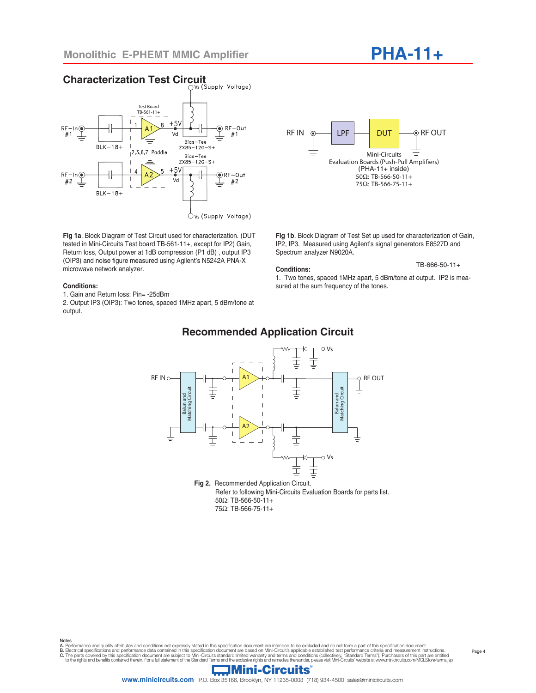**Characterization Test Circuit**

#### Vs (Supply Voltage) Test Board TB-561-11+  $8 + 5V$  $\circledcirc$  RF-Out  $RF-In@$  $\Delta$  $#1$ Vd  $#1$ Bias-Tee  $BLK-18+$  $ZX85 - 12G - S +$  $2,3,6,7$  Paddle Bias-Tee  $2X85 - 12G - S +$  $+5V$  $RF-In@$ **●RF-Out**  $#2$ Vd  $\pm$  $#2$  $\pm$  $BLK-18+$  $\circlearrowright$  vs (Supply Voltage)

**Fig 1a**. Block Diagram of Test Circuit used for characterization. (DUT tested in Mini-Circuits Test board TB-561-11+, except for IP2) Gain, Return loss, Output power at 1dB compression (P1 dB) , output IP3 (OIP3) and noise figure measured using Agilent's N5242A PNA-X microwave network analyzer.

#### **Conditions:**

1. Gain and Return loss: Pin= -25dBm

2. Output IP3 (OIP3): Two tones, spaced 1MHz apart, 5 dBm/tone at output.



**PHA-11+**

**Fig 1b**. Block Diagram of Test Set up used for characterization of Gain, IP2, IP3. Measured using Agilent's signal generators E8527D and Spectrum analyzer N9020A.

#### **Conditions:**

## TB-666-50-11+

1. Two tones, spaced 1MHz apart, 5 dBm/tone at output. IP2 is measured at the sum frequency of the tones.



75Ω: TB-566-75-11+

Notes A. Performance and quality attributes and conditions not expressly stated in this specification document are intended to be excluded and do not form a part of this specification document.

B. Electrical specifications and performance data contained in this specification document are based on Mini-Circuit's applicable established test performance criteria and measurement instructions.<br>C. The parts covered by

# **Recommended Application Circuit**

## **Mini-Circuits**

**www.minicircuits.com** P.O. Box 35166, Brooklyn, NY 11235-0003 (718) 934-4500 sales@minicircuits.com